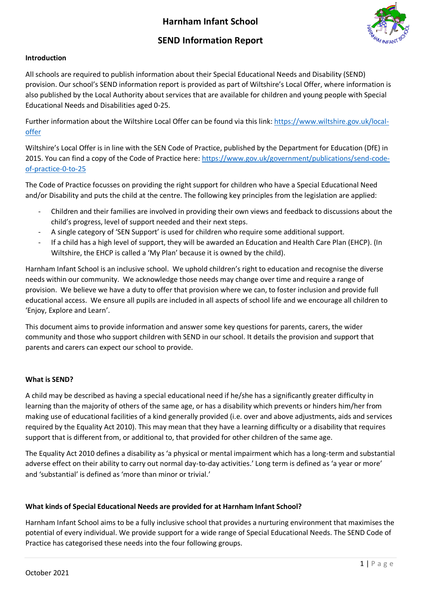# **Harnham Infant School**

# **SEND Information Report**



## **Introduction**

All schools are required to publish information about their Special Educational Needs and Disability (SEND) provision. Our school's SEND information report is provided as part of Wiltshire's Local Offer, where information is also published by the Local Authority about services that are available for children and young people with Special Educational Needs and Disabilities aged 0-25.

Further information about the Wiltshire Local Offer can be found via this link[: https://www.wiltshire.gov.uk/local](https://www.wiltshire.gov.uk/local-offer)[offer](https://www.wiltshire.gov.uk/local-offer)

Wiltshire's Local Offer is in line with the SEN Code of Practice, published by the Department for Education (DfE) in 2015. You can find a copy of the Code of Practice here: [https://www.gov.uk/government/publications/send-code](https://www.gov.uk/government/publications/send-code-of-practice-0-to-25)[of-practice-0-to-25](https://www.gov.uk/government/publications/send-code-of-practice-0-to-25)

The Code of Practice focusses on providing the right support for children who have a Special Educational Need and/or Disability and puts the child at the centre. The following key principles from the legislation are applied:

- Children and their families are involved in providing their own views and feedback to discussions about the child's progress, level of support needed and their next steps.
- A single category of 'SEN Support' is used for children who require some additional support.
- If a child has a high level of support, they will be awarded an Education and Health Care Plan (EHCP). (In Wiltshire, the EHCP is called a 'My Plan' because it is owned by the child).

Harnham Infant School is an inclusive school. We uphold children's right to education and recognise the diverse needs within our community. We acknowledge those needs may change over time and require a range of provision. We believe we have a duty to offer that provision where we can, to foster inclusion and provide full educational access. We ensure all pupils are included in all aspects of school life and we encourage all children to 'Enjoy, Explore and Learn'.

This document aims to provide information and answer some key questions for parents, carers, the wider community and those who support children with SEND in our school. It details the provision and support that parents and carers can expect our school to provide.

#### **What is SEND?**

A child may be described as having a special educational need if he/she has a significantly greater difficulty in learning than the majority of others of the same age, or has a disability which prevents or hinders him/her from making use of educational facilities of a kind generally provided (i.e. over and above adjustments, aids and services required by the Equality Act 2010). This may mean that they have a learning difficulty or a disability that requires support that is different from, or additional to, that provided for other children of the same age.

The Equality Act 2010 defines a disability as 'a physical or mental impairment which has a long-term and substantial adverse effect on their ability to carry out normal day-to-day activities.' Long term is defined as 'a year or more' and 'substantial' is defined as 'more than minor or trivial.'

#### **What kinds of Special Educational Needs are provided for at Harnham Infant School?**

Harnham Infant School aims to be a fully inclusive school that provides a nurturing environment that maximises the potential of every individual. We provide support for a wide range of Special Educational Needs. The SEND Code of Practice has categorised these needs into the four following groups.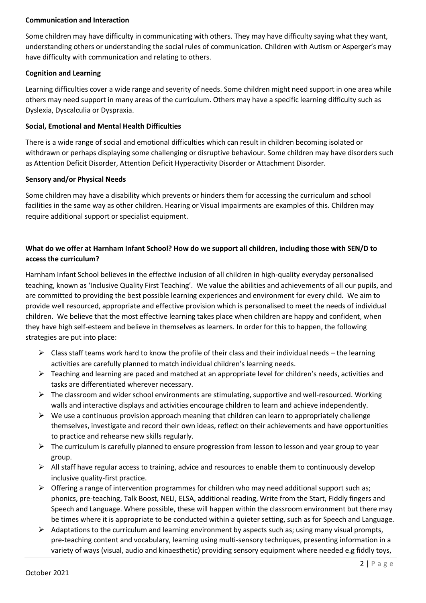### **Communication and Interaction**

Some children may have difficulty in communicating with others. They may have difficulty saying what they want, understanding others or understanding the social rules of communication. Children with Autism or Asperger's may have difficulty with communication and relating to others.

### **Cognition and Learning**

Learning difficulties cover a wide range and severity of needs. Some children might need support in one area while others may need support in many areas of the curriculum. Others may have a specific learning difficulty such as Dyslexia, Dyscalculia or Dyspraxia.

### **Social, Emotional and Mental Health Difficulties**

There is a wide range of social and emotional difficulties which can result in children becoming isolated or withdrawn or perhaps displaying some challenging or disruptive behaviour. Some children may have disorders such as Attention Deficit Disorder, Attention Deficit Hyperactivity Disorder or Attachment Disorder.

### **Sensory and/or Physical Needs**

Some children may have a disability which prevents or hinders them for accessing the curriculum and school facilities in the same way as other children. Hearing or Visual impairments are examples of this. Children may require additional support or specialist equipment.

# **What do we offer at Harnham Infant School? How do we support all children, including those with SEN/D to access the curriculum?**

Harnham Infant School believes in the effective inclusion of all children in high-quality everyday personalised teaching, known as 'Inclusive Quality First Teaching'. We value the abilities and achievements of all our pupils, and are committed to providing the best possible learning experiences and environment for every child. We aim to provide well resourced, appropriate and effective provision which is personalised to meet the needs of individual children. We believe that the most effective learning takes place when children are happy and confident, when they have high self-esteem and believe in themselves as learners. In order for this to happen, the following strategies are put into place:

- $\triangleright$  Class staff teams work hard to know the profile of their class and their individual needs the learning activities are carefully planned to match individual children's learning needs.
- $\triangleright$  Teaching and learning are paced and matched at an appropriate level for children's needs, activities and tasks are differentiated wherever necessary.
- $\triangleright$  The classroom and wider school environments are stimulating, supportive and well-resourced. Working walls and interactive displays and activities encourage children to learn and achieve independently.
- $\triangleright$  We use a continuous provision approach meaning that children can learn to appropriately challenge themselves, investigate and record their own ideas, reflect on their achievements and have opportunities to practice and rehearse new skills regularly.
- $\triangleright$  The curriculum is carefully planned to ensure progression from lesson to lesson and year group to year group.
- $\triangleright$  All staff have regular access to training, advice and resources to enable them to continuously develop inclusive quality-first practice.
- $\triangleright$  Offering a range of intervention programmes for children who may need additional support such as; phonics, pre-teaching, Talk Boost, NELI, ELSA, additional reading, Write from the Start, Fiddly fingers and Speech and Language. Where possible, these will happen within the classroom environment but there may be times where it is appropriate to be conducted within a quieter setting, such as for Speech and Language.
- $\triangleright$  Adaptations to the curriculum and learning environment by aspects such as; using many visual prompts, pre-teaching content and vocabulary, learning using multi-sensory techniques, presenting information in a variety of ways (visual, audio and kinaesthetic) providing sensory equipment where needed e.g fiddly toys,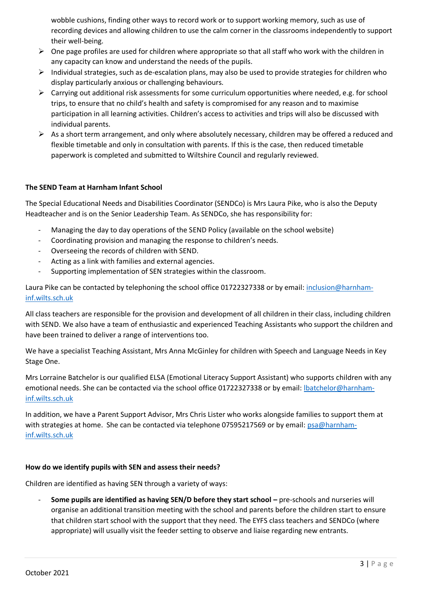wobble cushions, finding other ways to record work or to support working memory, such as use of recording devices and allowing children to use the calm corner in the classrooms independently to support their well-being.

- $\triangleright$  One page profiles are used for children where appropriate so that all staff who work with the children in any capacity can know and understand the needs of the pupils.
- $\triangleright$  Individual strategies, such as de-escalation plans, may also be used to provide strategies for children who display particularly anxious or challenging behaviours.
- $\triangleright$  Carrying out additional risk assessments for some curriculum opportunities where needed, e.g. for school trips, to ensure that no child's health and safety is compromised for any reason and to maximise participation in all learning activities. Children's access to activities and trips will also be discussed with individual parents.
- $\triangleright$  As a short term arrangement, and only where absolutely necessary, children may be offered a reduced and flexible timetable and only in consultation with parents. If this is the case, then reduced timetable paperwork is completed and submitted to Wiltshire Council and regularly reviewed.

## **The SEND Team at Harnham Infant School**

The Special Educational Needs and Disabilities Coordinator (SENDCo) is Mrs Laura Pike, who is also the Deputy Headteacher and is on the Senior Leadership Team. As SENDCo, she has responsibility for:

- Managing the day to day operations of the SEND Policy (available on the school website)
- Coordinating provision and managing the response to children's needs.
- Overseeing the records of children with SEND.
- Acting as a link with families and external agencies.
- Supporting implementation of SEN strategies within the classroom.

Laura Pike can be contacted by telephoning the school office 01722327338 or by email: [inclusion@harnham](mailto:inclusion@harnham-inf.wilts.sch.uk)[inf.wilts.sch.uk](mailto:inclusion@harnham-inf.wilts.sch.uk)

All class teachers are responsible for the provision and development of all children in their class, including children with SEND. We also have a team of enthusiastic and experienced Teaching Assistants who support the children and have been trained to deliver a range of interventions too.

We have a specialist Teaching Assistant, Mrs Anna McGinley for children with Speech and Language Needs in Key Stage One.

Mrs Lorraine Batchelor is our qualified ELSA (Emotional Literacy Support Assistant) who supports children with any emotional needs. She can be contacted via the school office 01722327338 or by email: Ibatchelor@harnham[inf.wilts.sch.uk](mailto:lbatchelor@harnham-inf.wilts.sch.uk)

In addition, we have a Parent Support Advisor, Mrs Chris Lister who works alongside families to support them at with strategies at home. She can be contacted via telephone 07595217569 or by email[: psa@harnham](mailto:psa@harnham-inf.wilts.sch.uk)[inf.wilts.sch.uk](mailto:psa@harnham-inf.wilts.sch.uk)

#### **How do we identify pupils with SEN and assess their needs?**

Children are identified as having SEN through a variety of ways:

- **Some pupils are identified as having SEN/D before they start school –** pre-schools and nurseries will organise an additional transition meeting with the school and parents before the children start to ensure that children start school with the support that they need. The EYFS class teachers and SENDCo (where appropriate) will usually visit the feeder setting to observe and liaise regarding new entrants.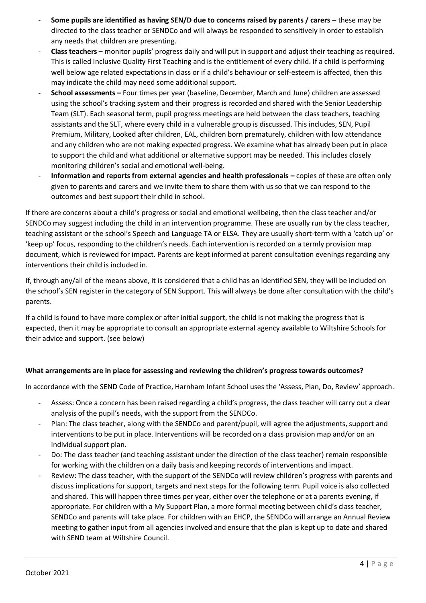- **Some pupils are identified as having SEN/D due to concerns raised by parents / carers these may be** directed to the class teacher or SENDCo and will always be responded to sensitively in order to establish any needs that children are presenting.
- **Class teachers –** monitor pupils' progress daily and will put in support and adjust their teaching as required. This is called Inclusive Quality First Teaching and is the entitlement of every child. If a child is performing well below age related expectations in class or if a child's behaviour or self-esteem is affected, then this may indicate the child may need some additional support.
- **School assessments –** Four times per year (baseline, December, March and June) children are assessed using the school's tracking system and their progress is recorded and shared with the Senior Leadership Team (SLT). Each seasonal term, pupil progress meetings are held between the class teachers, teaching assistants and the SLT, where every child in a vulnerable group is discussed. This includes, SEN, Pupil Premium, Military, Looked after children, EAL, children born prematurely, children with low attendance and any children who are not making expected progress. We examine what has already been put in place to support the child and what additional or alternative support may be needed. This includes closely monitoring children's social and emotional well-being.
- Information and reports from external agencies and health professionals copies of these are often only given to parents and carers and we invite them to share them with us so that we can respond to the outcomes and best support their child in school.

If there are concerns about a child's progress or social and emotional wellbeing, then the class teacher and/or SENDCo may suggest including the child in an intervention programme. These are usually run by the class teacher, teaching assistant or the school's Speech and Language TA or ELSA. They are usually short-term with a 'catch up' or 'keep up' focus, responding to the children's needs. Each intervention is recorded on a termly provision map document, which is reviewed for impact. Parents are kept informed at parent consultation evenings regarding any interventions their child is included in.

If, through any/all of the means above, it is considered that a child has an identified SEN, they will be included on the school's SEN register in the category of SEN Support. This will always be done after consultation with the child's parents.

If a child is found to have more complex or after initial support, the child is not making the progress that is expected, then it may be appropriate to consult an appropriate external agency available to Wiltshire Schools for their advice and support. (see below)

# **What arrangements are in place for assessing and reviewing the children's progress towards outcomes?**

In accordance with the SEND Code of Practice, Harnham Infant School uses the 'Assess, Plan, Do, Review' approach.

- Assess: Once a concern has been raised regarding a child's progress, the class teacher will carry out a clear analysis of the pupil's needs, with the support from the SENDCo.
- Plan: The class teacher, along with the SENDCo and parent/pupil, will agree the adjustments, support and interventions to be put in place. Interventions will be recorded on a class provision map and/or on an individual support plan.
- Do: The class teacher (and teaching assistant under the direction of the class teacher) remain responsible for working with the children on a daily basis and keeping records of interventions and impact.
- Review: The class teacher, with the support of the SENDCo will review children's progress with parents and discuss implications for support, targets and next steps for the following term. Pupil voice is also collected and shared. This will happen three times per year, either over the telephone or at a parents evening, if appropriate. For children with a My Support Plan, a more formal meeting between child's class teacher, SENDCo and parents will take place. For children with an EHCP, the SENDCo will arrange an Annual Review meeting to gather input from all agencies involved and ensure that the plan is kept up to date and shared with SEND team at Wiltshire Council.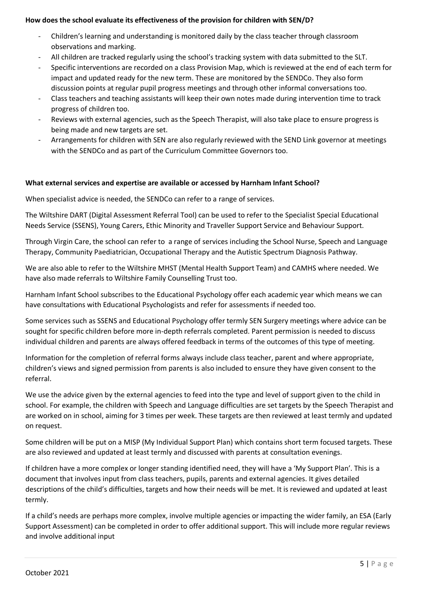### **How does the school evaluate its effectiveness of the provision for children with SEN/D?**

- Children's learning and understanding is monitored daily by the class teacher through classroom observations and marking.
- All children are tracked regularly using the school's tracking system with data submitted to the SLT.
- Specific interventions are recorded on a class Provision Map, which is reviewed at the end of each term for impact and updated ready for the new term. These are monitored by the SENDCo. They also form discussion points at regular pupil progress meetings and through other informal conversations too.
- Class teachers and teaching assistants will keep their own notes made during intervention time to track progress of children too.
- Reviews with external agencies, such as the Speech Therapist, will also take place to ensure progress is being made and new targets are set.
- Arrangements for children with SEN are also regularly reviewed with the SEND Link governor at meetings with the SENDCo and as part of the Curriculum Committee Governors too.

### **What external services and expertise are available or accessed by Harnham Infant School?**

When specialist advice is needed, the SENDCo can refer to a range of services.

The Wiltshire DART (Digital Assessment Referral Tool) can be used to refer to the Specialist Special Educational Needs Service (SSENS), Young Carers, Ethic Minority and Traveller Support Service and Behaviour Support.

Through Virgin Care, the school can refer to a range of services including the School Nurse, Speech and Language Therapy, Community Paediatrician, Occupational Therapy and the Autistic Spectrum Diagnosis Pathway.

We are also able to refer to the Wiltshire MHST (Mental Health Support Team) and CAMHS where needed. We have also made referrals to Wiltshire Family Counselling Trust too.

Harnham Infant School subscribes to the Educational Psychology offer each academic year which means we can have consultations with Educational Psychologists and refer for assessments if needed too.

Some services such as SSENS and Educational Psychology offer termly SEN Surgery meetings where advice can be sought for specific children before more in-depth referrals completed. Parent permission is needed to discuss individual children and parents are always offered feedback in terms of the outcomes of this type of meeting.

Information for the completion of referral forms always include class teacher, parent and where appropriate, children's views and signed permission from parents is also included to ensure they have given consent to the referral.

We use the advice given by the external agencies to feed into the type and level of support given to the child in school. For example, the children with Speech and Language difficulties are set targets by the Speech Therapist and are worked on in school, aiming for 3 times per week. These targets are then reviewed at least termly and updated on request.

Some children will be put on a MISP (My Individual Support Plan) which contains short term focused targets. These are also reviewed and updated at least termly and discussed with parents at consultation evenings.

If children have a more complex or longer standing identified need, they will have a 'My Support Plan'. This is a document that involves input from class teachers, pupils, parents and external agencies. It gives detailed descriptions of the child's difficulties, targets and how their needs will be met. It is reviewed and updated at least termly.

If a child's needs are perhaps more complex, involve multiple agencies or impacting the wider family, an ESA (Early Support Assessment) can be completed in order to offer additional support. This will include more regular reviews and involve additional input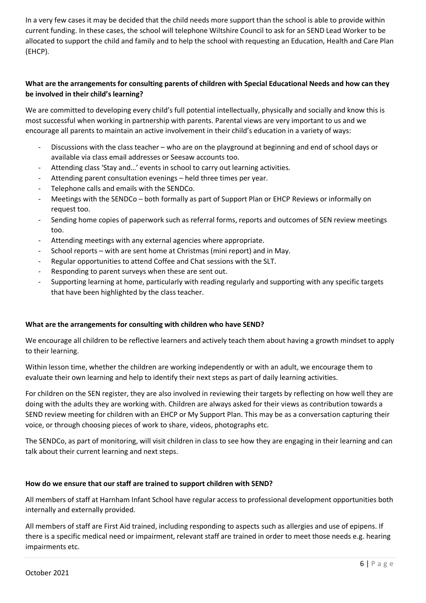In a very few cases it may be decided that the child needs more support than the school is able to provide within current funding. In these cases, the school will telephone Wiltshire Council to ask for an SEND Lead Worker to be allocated to support the child and family and to help the school with requesting an Education, Health and Care Plan (EHCP).

# **What are the arrangements for consulting parents of children with Special Educational Needs and how can they be involved in their child's learning?**

We are committed to developing every child's full potential intellectually, physically and socially and know this is most successful when working in partnership with parents. Parental views are very important to us and we encourage all parents to maintain an active involvement in their child's education in a variety of ways:

- Discussions with the class teacher who are on the playground at beginning and end of school days or available via class email addresses or Seesaw accounts too.
- Attending class 'Stay and...' events in school to carry out learning activities.
- Attending parent consultation evenings held three times per year.
- Telephone calls and emails with the SENDCo.
- Meetings with the SENDCo both formally as part of Support Plan or EHCP Reviews or informally on request too.
- Sending home copies of paperwork such as referral forms, reports and outcomes of SEN review meetings too.
- Attending meetings with any external agencies where appropriate.
- School reports with are sent home at Christmas (mini report) and in May.
- Regular opportunities to attend Coffee and Chat sessions with the SLT.
- Responding to parent surveys when these are sent out.
- Supporting learning at home, particularly with reading regularly and supporting with any specific targets that have been highlighted by the class teacher.

## **What are the arrangements for consulting with children who have SEND?**

We encourage all children to be reflective learners and actively teach them about having a growth mindset to apply to their learning.

Within lesson time, whether the children are working independently or with an adult, we encourage them to evaluate their own learning and help to identify their next steps as part of daily learning activities.

For children on the SEN register, they are also involved in reviewing their targets by reflecting on how well they are doing with the adults they are working with. Children are always asked for their views as contribution towards a SEND review meeting for children with an EHCP or My Support Plan. This may be as a conversation capturing their voice, or through choosing pieces of work to share, videos, photographs etc.

The SENDCo, as part of monitoring, will visit children in class to see how they are engaging in their learning and can talk about their current learning and next steps.

## **How do we ensure that our staff are trained to support children with SEND?**

All members of staff at Harnham Infant School have regular access to professional development opportunities both internally and externally provided.

All members of staff are First Aid trained, including responding to aspects such as allergies and use of epipens. If there is a specific medical need or impairment, relevant staff are trained in order to meet those needs e.g. hearing impairments etc.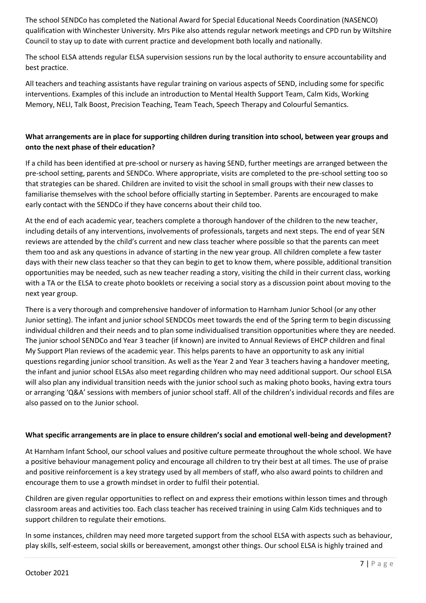The school SENDCo has completed the National Award for Special Educational Needs Coordination (NASENCO) qualification with Winchester University. Mrs Pike also attends regular network meetings and CPD run by Wiltshire Council to stay up to date with current practice and development both locally and nationally.

The school ELSA attends regular ELSA supervision sessions run by the local authority to ensure accountability and best practice.

All teachers and teaching assistants have regular training on various aspects of SEND, including some for specific interventions. Examples of this include an introduction to Mental Health Support Team, Calm Kids, Working Memory, NELI, Talk Boost, Precision Teaching, Team Teach, Speech Therapy and Colourful Semantics.

# **What arrangements are in place for supporting children during transition into school, between year groups and onto the next phase of their education?**

If a child has been identified at pre-school or nursery as having SEND, further meetings are arranged between the pre-school setting, parents and SENDCo. Where appropriate, visits are completed to the pre-school setting too so that strategies can be shared. Children are invited to visit the school in small groups with their new classes to familiarise themselves with the school before officially starting in September. Parents are encouraged to make early contact with the SENDCo if they have concerns about their child too.

At the end of each academic year, teachers complete a thorough handover of the children to the new teacher, including details of any interventions, involvements of professionals, targets and next steps. The end of year SEN reviews are attended by the child's current and new class teacher where possible so that the parents can meet them too and ask any questions in advance of starting in the new year group. All children complete a few taster days with their new class teacher so that they can begin to get to know them, where possible, additional transition opportunities may be needed, such as new teacher reading a story, visiting the child in their current class, working with a TA or the ELSA to create photo booklets or receiving a social story as a discussion point about moving to the next year group.

There is a very thorough and comprehensive handover of information to Harnham Junior School (or any other Junior setting). The infant and junior school SENDCOs meet towards the end of the Spring term to begin discussing individual children and their needs and to plan some individualised transition opportunities where they are needed. The junior school SENDCo and Year 3 teacher (if known) are invited to Annual Reviews of EHCP children and final My Support Plan reviews of the academic year. This helps parents to have an opportunity to ask any initial questions regarding junior school transition. As well as the Year 2 and Year 3 teachers having a handover meeting, the infant and junior school ELSAs also meet regarding children who may need additional support. Our school ELSA will also plan any individual transition needs with the junior school such as making photo books, having extra tours or arranging 'Q&A' sessions with members of junior school staff. All of the children's individual records and files are also passed on to the Junior school.

## **What specific arrangements are in place to ensure children's social and emotional well-being and development?**

At Harnham Infant School, our school values and positive culture permeate throughout the whole school. We have a positive behaviour management policy and encourage all children to try their best at all times. The use of praise and positive reinforcement is a key strategy used by all members of staff, who also award points to children and encourage them to use a growth mindset in order to fulfil their potential.

Children are given regular opportunities to reflect on and express their emotions within lesson times and through classroom areas and activities too. Each class teacher has received training in using Calm Kids techniques and to support children to regulate their emotions.

In some instances, children may need more targeted support from the school ELSA with aspects such as behaviour, play skills, self-esteem, social skills or bereavement, amongst other things. Our school ELSA is highly trained and